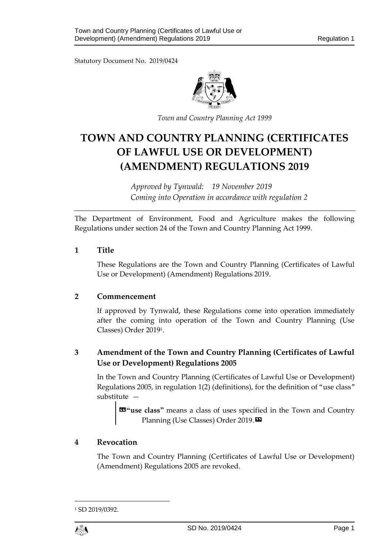Statutory Document No. 2019/0424



*Town and Country Planning Act 1999*

# **TOWN AND COUNTRY PLANNING (CERTIFICATES OF LAWFUL USE OR DEVELOPMENT) (AMENDMENT) REGULATIONS 2019**

*Approved by Tynwald: 19 November 2019 Coming into Operation in accordance with regulation 2*

The Department of Environment, Food and Agriculture makes the following Regulations under section 24 of the Town and Country Planning Act 1999.

## **1 Title**

These Regulations are the Town and Country Planning (Certificates of Lawful Use or Development) (Amendment) Regulations 2019.

## **2 Commencement**

If approved by Tynwald, these Regulations come into operation immediately after the coming into operation of the Town and Country Planning (Use Classes) Order 2019<sup>1</sup> .

## **3 Amendment of the Town and Country Planning (Certificates of Lawful Use or Development) Regulations 2005**

In the Town and Country Planning (Certificates of Lawful Use or Development) Regulations 2005, in regulation 1(2) (definitions), for the definition of "use class" substitute —

**«"use class"** means a class of uses specified in the Town and Country Planning (Use Classes) Order 2019.

## **4 Revocation**

The Town and Country Planning (Certificates of Lawful Use or Development) (Amendment) Regulations 2005 are revoked.

1

<sup>1</sup> SD 2019/0392.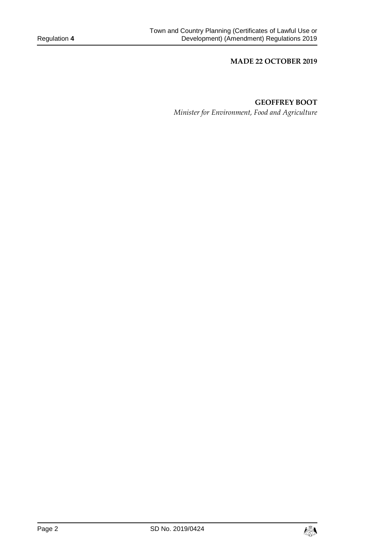#### **MADE 22 OCTOBER 2019**

## **GEOFFREY BOOT**

*Minister for Environment, Food and Agriculture*